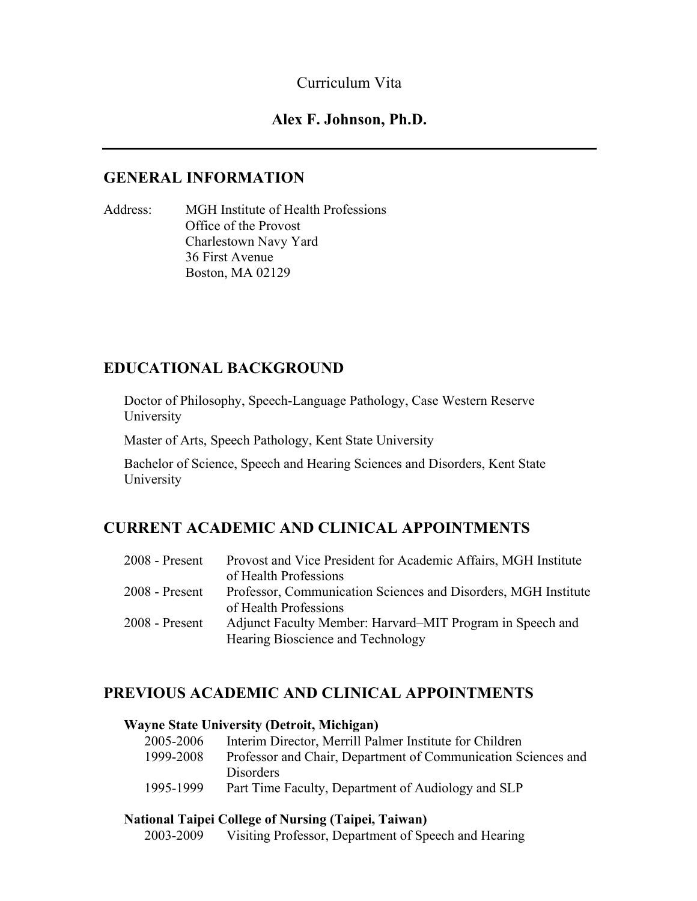## Curriculum Vita

## **Alex F. Johnson, Ph.D.**

## **GENERAL INFORMATION**

Address: MGH Institute of Health Professions Office of the Provost Charlestown Navy Yard 36 First Avenue Boston, MA 02129

## **EDUCATIONAL BACKGROUND**

Doctor of Philosophy, Speech-Language Pathology, Case Western Reserve University

Master of Arts, Speech Pathology, Kent State University

Bachelor of Science, Speech and Hearing Sciences and Disorders, Kent State University

## **CURRENT ACADEMIC AND CLINICAL APPOINTMENTS**

| $2008$ - Present | Provost and Vice President for Academic Affairs, MGH Institute |
|------------------|----------------------------------------------------------------|
|                  | of Health Professions                                          |
| $2008$ - Present | Professor, Communication Sciences and Disorders, MGH Institute |
|                  | of Health Professions                                          |
| $2008$ - Present | Adjunct Faculty Member: Harvard–MIT Program in Speech and      |
|                  | Hearing Bioscience and Technology                              |

## **PREVIOUS ACADEMIC AND CLINICAL APPOINTMENTS**

### **Wayne State University (Detroit, Michigan)**

| 2005-2006 | Interim Director, Merrill Palmer Institute for Children       |
|-----------|---------------------------------------------------------------|
| 1999-2008 | Professor and Chair, Department of Communication Sciences and |
|           | <b>Disorders</b>                                              |
| 1995-1999 | Part Time Faculty, Department of Audiology and SLP            |

## **National Taipei College of Nursing (Taipei, Taiwan)**

2003-2009 Visiting Professor, Department of Speech and Hearing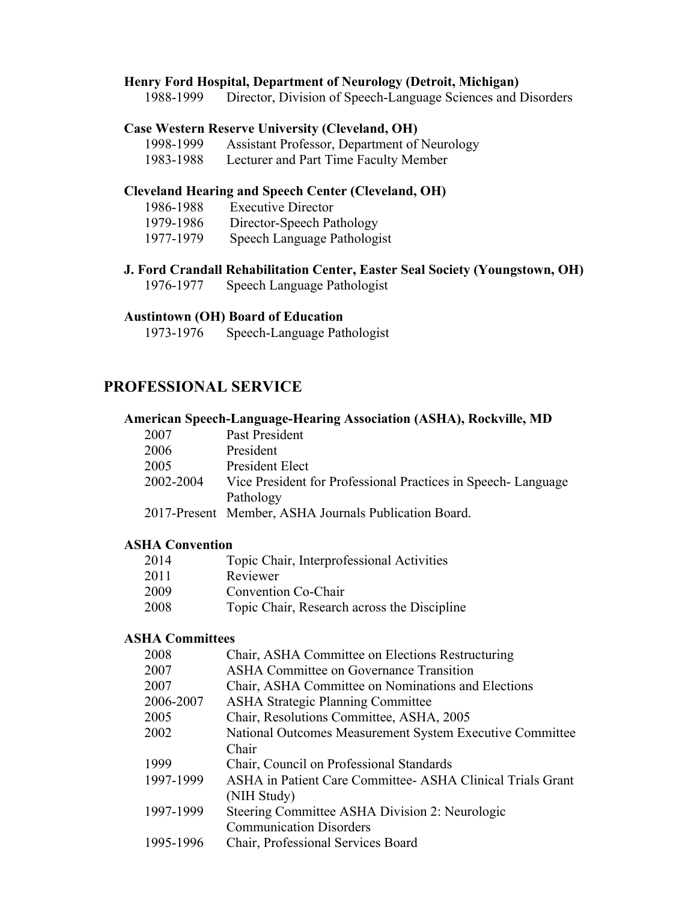### **Henry Ford Hospital, Department of Neurology (Detroit, Michigan)**

1988-1999 Director, Division of Speech-Language Sciences and Disorders

### **Case Western Reserve University (Cleveland, OH)**

| 1998-1999<br>Assistant Professor, Department of Neurology |
|-----------------------------------------------------------|
|-----------------------------------------------------------|

1983-1988 Lecturer and Part Time Faculty Member

### **Cleveland Hearing and Speech Center (Cleveland, OH)**

| 1986-1988 | <b>Executive Director</b>   |
|-----------|-----------------------------|
| 1979-1986 | Director-Speech Pathology   |
| 1977-1979 | Speech Language Pathologist |

**J. Ford Crandall Rehabilitation Center, Easter Seal Society (Youngstown, OH)** 1976-1977 Speech Language Pathologist

#### **Austintown (OH) Board of Education**

1973-1976 Speech-Language Pathologist

## **PROFESSIONAL SERVICE**

#### **American Speech-Language-Hearing Association (ASHA), Rockville, MD**

| 2007      | Past President                                               |
|-----------|--------------------------------------------------------------|
| 2006      | President                                                    |
| 2005      | President Elect                                              |
| 2002-2004 | Vice President for Professional Practices in Speech-Language |
|           | Pathology                                                    |
|           | 2017-Present Member, ASHA Journals Publication Board.        |

#### **ASHA Convention**

| 2014 | Topic Chair, Interprofessional Activities   |
|------|---------------------------------------------|
| 2011 | Reviewer                                    |
| 2009 | Convention Co-Chair                         |
| 2008 | Topic Chair, Research across the Discipline |

### **ASHA Committees**

| 2008      | Chair, ASHA Committee on Elections Restructuring           |
|-----------|------------------------------------------------------------|
| 2007      | <b>ASHA Committee on Governance Transition</b>             |
| 2007      | Chair, ASHA Committee on Nominations and Elections         |
| 2006-2007 | <b>ASHA Strategic Planning Committee</b>                   |
| 2005      | Chair, Resolutions Committee, ASHA, 2005                   |
| 2002      | National Outcomes Measurement System Executive Committee   |
|           | Chair                                                      |
| 1999      | Chair, Council on Professional Standards                   |
| 1997-1999 | ASHA in Patient Care Committee- ASHA Clinical Trials Grant |
|           | (NIH Study)                                                |
| 1997-1999 | Steering Committee ASHA Division 2: Neurologic             |
|           | <b>Communication Disorders</b>                             |
| 1995-1996 | Chair, Professional Services Board                         |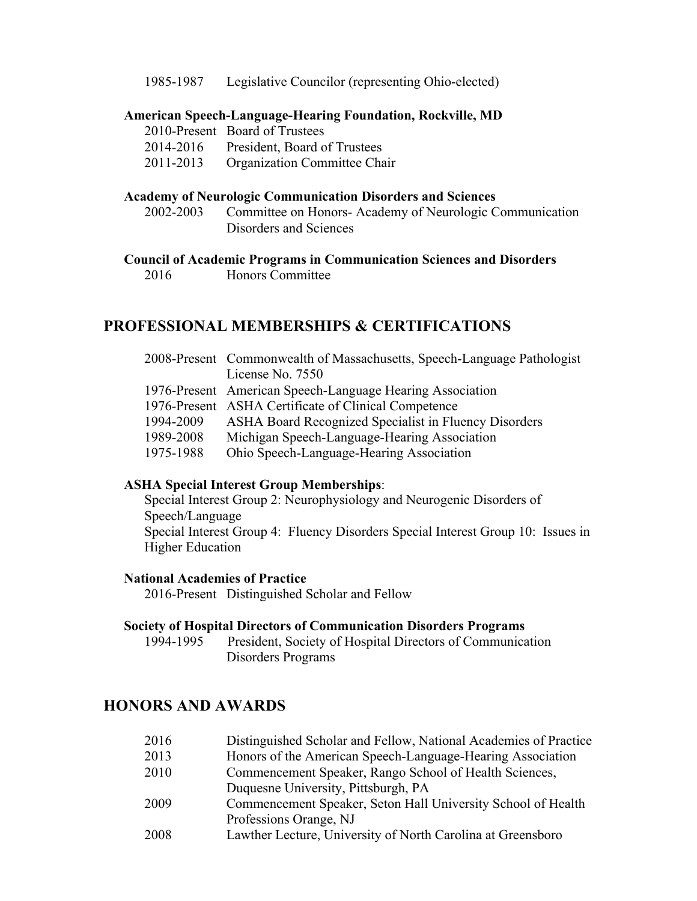1985-1987 Legislative Councilor (representing Ohio-elected)

#### **American Speech-Language-Hearing Foundation, Rockville, MD**

2010-Present Board of Trustees

2014-2016 President, Board of Trustees

2011-2013 Organization Committee Chair

#### **Academy of Neurologic Communication Disorders and Sciences**

2002-2003 Committee on Honors- Academy of Neurologic Communication Disorders and Sciences

#### **Council of Academic Programs in Communication Sciences and Disorders**

2016 Honors Committee

## **PROFESSIONAL MEMBERSHIPS & CERTIFICATIONS**

|           | 2008-Present Commonwealth of Massachusetts, Speech-Language Pathologist |
|-----------|-------------------------------------------------------------------------|
|           | License No. 7550                                                        |
|           | 1976-Present American Speech-Language Hearing Association               |
|           | 1976-Present ASHA Certificate of Clinical Competence                    |
| 1994-2009 | ASHA Board Recognized Specialist in Fluency Disorders                   |
| 1989-2008 | Michigan Speech-Language-Hearing Association                            |
| 1975-1988 | Ohio Speech-Language-Hearing Association                                |

### **ASHA Special Interest Group Memberships**:

Special Interest Group 2: Neurophysiology and Neurogenic Disorders of Speech/Language Special Interest Group 4: Fluency Disorders Special Interest Group 10: Issues in Higher Education

#### **National Academies of Practice**

2016-Present Distinguished Scholar and Fellow

### **Society of Hospital Directors of Communication Disorders Programs**

1994-1995 President, Society of Hospital Directors of Communication Disorders Programs

## **HONORS AND AWARDS**

| 2016 | Distinguished Scholar and Fellow, National Academies of Practice |
|------|------------------------------------------------------------------|
| 2013 | Honors of the American Speech-Language-Hearing Association       |
| 2010 | Commencement Speaker, Rango School of Health Sciences,           |
|      | Duquesne University, Pittsburgh, PA                              |
| 2009 | Commencement Speaker, Seton Hall University School of Health     |
|      | Professions Orange, NJ                                           |

2008 Lawther Lecture, University of North Carolina at Greensboro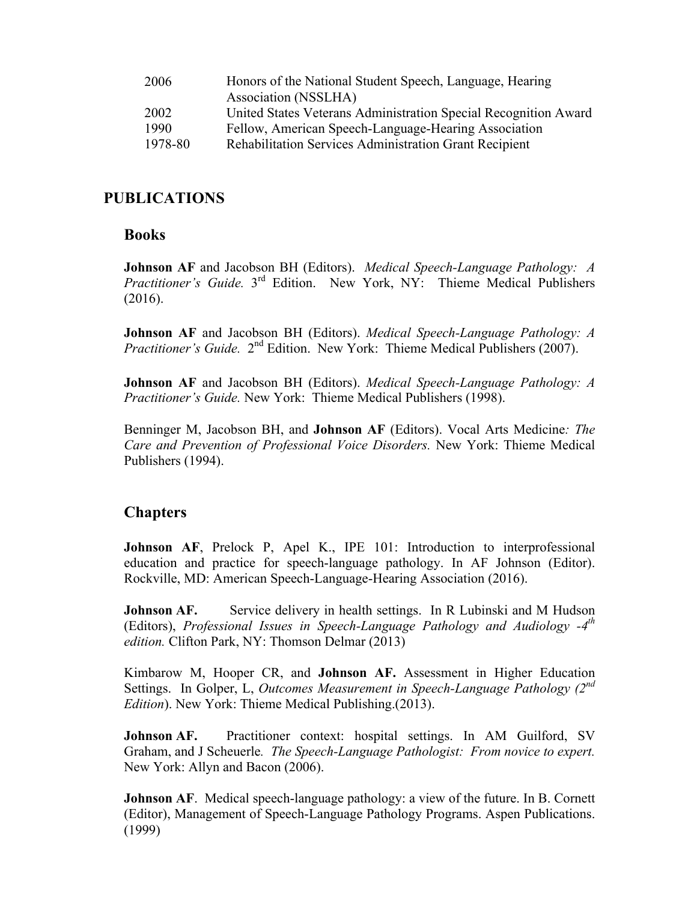| 2006    | Honors of the National Student Speech, Language, Hearing        |
|---------|-----------------------------------------------------------------|
|         | Association (NSSLHA)                                            |
| 2002    | United States Veterans Administration Special Recognition Award |
| 1990    | Fellow, American Speech-Language-Hearing Association            |
| 1978-80 | Rehabilitation Services Administration Grant Recipient          |

## **PUBLICATIONS**

## **Books**

**Johnson AF** and Jacobson BH (Editors). *Medical Speech-Language Pathology: A Practitioner's Guide.* 3<sup>rd</sup> Edition. New York, NY: Thieme Medical Publishers (2016).

**Johnson AF** and Jacobson BH (Editors). *Medical Speech-Language Pathology: A Practitioner's Guide.* 2<sup>nd</sup> Edition. New York: Thieme Medical Publishers (2007).

**Johnson AF** and Jacobson BH (Editors). *Medical Speech-Language Pathology: A Practitioner's Guide.* New York: Thieme Medical Publishers (1998).

Benninger M, Jacobson BH, and **Johnson AF** (Editors). Vocal Arts Medicine*: The Care and Prevention of Professional Voice Disorders.* New York: Thieme Medical Publishers (1994).

# **Chapters**

**Johnson AF, Prelock P, Apel K., IPE 101: Introduction to interprofessional** education and practice for speech-language pathology. In AF Johnson (Editor). Rockville, MD: American Speech-Language-Hearing Association (2016).

**Johnson AF.** Service delivery in health settings. In R Lubinski and M Hudson (Editors), *Professional Issues in Speech-Language Pathology and Audiology -4th edition.* Clifton Park, NY: Thomson Delmar (2013)

Kimbarow M, Hooper CR, and **Johnson AF.** Assessment in Higher Education Settings. In Golper, L, *Outcomes Measurement in Speech-Language Pathology (2nd Edition*). New York: Thieme Medical Publishing.(2013).

**Johnson AF.** Practitioner context: hospital settings. In AM Guilford, SV Graham, and J Scheuerle*. The Speech-Language Pathologist: From novice to expert.*  New York: Allyn and Bacon (2006).

**Johnson AF.** Medical speech-language pathology: a view of the future. In B. Cornett (Editor), Management of Speech-Language Pathology Programs. Aspen Publications. (1999)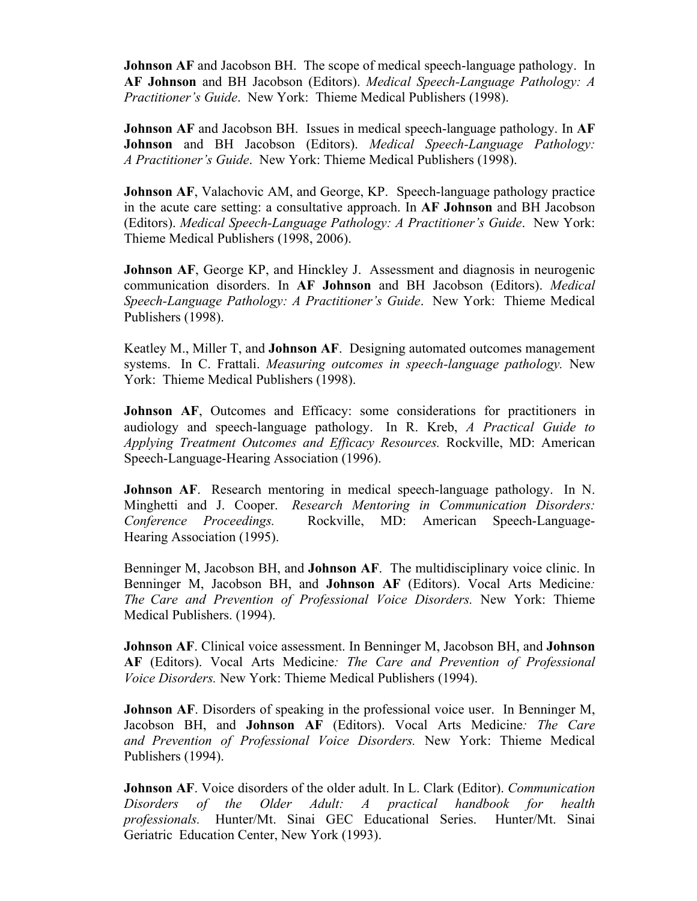**Johnson AF** and Jacobson BH. The scope of medical speech-language pathology. In **AF Johnson** and BH Jacobson (Editors). *Medical Speech-Language Pathology: A Practitioner's Guide*. New York: Thieme Medical Publishers (1998).

**Johnson AF** and Jacobson BH. Issues in medical speech-language pathology. In **AF Johnson** and BH Jacobson (Editors). *Medical Speech-Language Pathology: A Practitioner's Guide*. New York: Thieme Medical Publishers (1998).

**Johnson AF**, Valachovic AM, and George, KP. Speech-language pathology practice in the acute care setting: a consultative approach. In **AF Johnson** and BH Jacobson (Editors). *Medical Speech-Language Pathology: A Practitioner's Guide*. New York: Thieme Medical Publishers (1998, 2006).

**Johnson AF**, George KP, and Hinckley J. Assessment and diagnosis in neurogenic communication disorders. In **AF Johnson** and BH Jacobson (Editors). *Medical Speech-Language Pathology: A Practitioner's Guide*. New York: Thieme Medical Publishers (1998).

Keatley M., Miller T, and **Johnson AF**. Designing automated outcomes management systems. In C. Frattali. *Measuring outcomes in speech-language pathology.* New York: Thieme Medical Publishers (1998).

**Johnson AF, Outcomes and Efficacy: some considerations for practitioners in** audiology and speech-language pathology. In R. Kreb, *A Practical Guide to Applying Treatment Outcomes and Efficacy Resources.* Rockville, MD: American Speech-Language-Hearing Association (1996).

**Johnson AF**. Research mentoring in medical speech-language pathology. In N. Minghetti and J. Cooper. *Research Mentoring in Communication Disorders: Conference Proceedings.* Rockville, MD: American Speech-Language-Hearing Association (1995).

Benninger M, Jacobson BH, and **Johnson AF**. The multidisciplinary voice clinic. In Benninger M, Jacobson BH, and **Johnson AF** (Editors). Vocal Arts Medicine*: The Care and Prevention of Professional Voice Disorders.* New York: Thieme Medical Publishers. (1994).

**Johnson AF**. Clinical voice assessment. In Benninger M, Jacobson BH, and **Johnson AF** (Editors). Vocal Arts Medicine*: The Care and Prevention of Professional Voice Disorders.* New York: Thieme Medical Publishers (1994).

**Johnson AF**. Disorders of speaking in the professional voice user. In Benninger M, Jacobson BH, and **Johnson AF** (Editors). Vocal Arts Medicine*: The Care and Prevention of Professional Voice Disorders.* New York: Thieme Medical Publishers (1994).

**Johnson AF**. Voice disorders of the older adult. In L. Clark (Editor). *Communication Disorders of the Older Adult: A practical handbook for health professionals.* Hunter/Mt. Sinai GEC Educational Series. Hunter/Mt. Sinai Geriatric Education Center, New York (1993).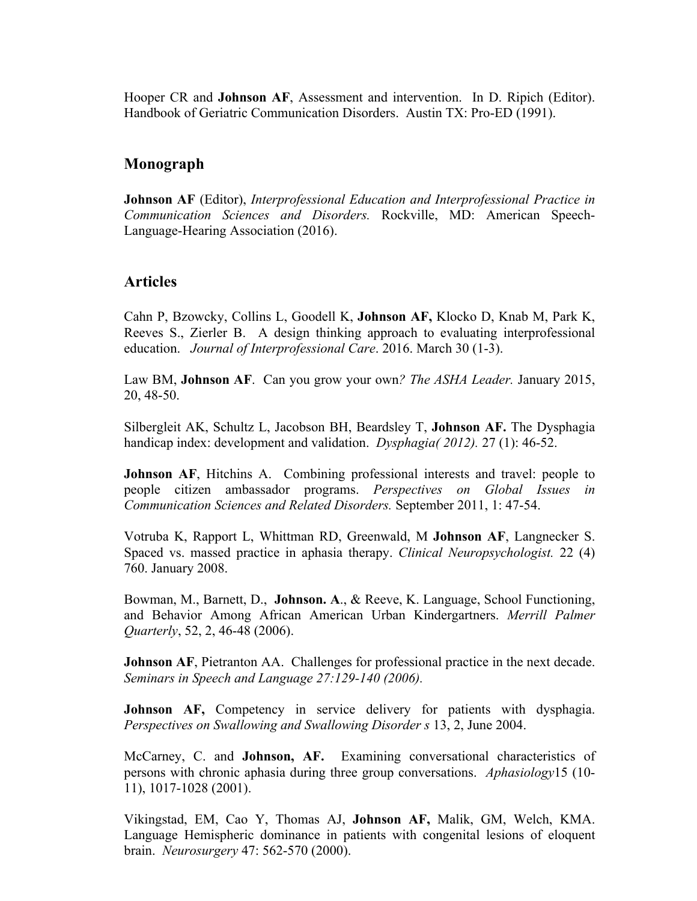Hooper CR and **Johnson AF**, Assessment and intervention. In D. Ripich (Editor). Handbook of Geriatric Communication Disorders. Austin TX: Pro-ED (1991).

## **Monograph**

**Johnson AF** (Editor), *Interprofessional Education and Interprofessional Practice in Communication Sciences and Disorders.* Rockville, MD: American Speech-Language-Hearing Association (2016).

## **Articles**

Cahn P, Bzowcky, Collins L, Goodell K, **Johnson AF,** Klocko D, Knab M, Park K, Reeves S., Zierler B. A design thinking approach to evaluating interprofessional education. *Journal of Interprofessional Care*. 2016. March 30 (1-3).

Law BM, **Johnson AF**. Can you grow your own*? The ASHA Leader.* January 2015, 20, 48-50.

Silbergleit AK, Schultz L, Jacobson BH, Beardsley T, **Johnson AF.** The Dysphagia handicap index: development and validation. *Dysphagia( 2012).* 27 (1): 46-52.

**Johnson AF**, Hitchins A. Combining professional interests and travel: people to people citizen ambassador programs. *Perspectives on Global Issues in Communication Sciences and Related Disorders.* September 2011, 1: 47-54.

Votruba K, Rapport L, Whittman RD, Greenwald, M **Johnson AF**, Langnecker S. Spaced vs. massed practice in aphasia therapy. *Clinical Neuropsychologist.* 22 (4) 760. January 2008.

Bowman, M., Barnett, D., **Johnson. A**., & Reeve, K. Language, School Functioning, and Behavior Among African American Urban Kindergartners. *Merrill Palmer Quarterly*, 52, 2, 46-48 (2006).

**Johnson AF**, Pietranton AA. Challenges for professional practice in the next decade. *Seminars in Speech and Language 27:129-140 (2006).* 

**Johnson AF,** Competency in service delivery for patients with dysphagia. *Perspectives on Swallowing and Swallowing Disorder s* 13, 2, June 2004.

McCarney, C. and **Johnson, AF.** Examining conversational characteristics of persons with chronic aphasia during three group conversations. *Aphasiology*15 (10- 11), 1017-1028 (2001).

Vikingstad, EM, Cao Y, Thomas AJ, **Johnson AF,** Malik, GM, Welch, KMA. Language Hemispheric dominance in patients with congenital lesions of eloquent brain. *Neurosurgery* 47: 562-570 (2000).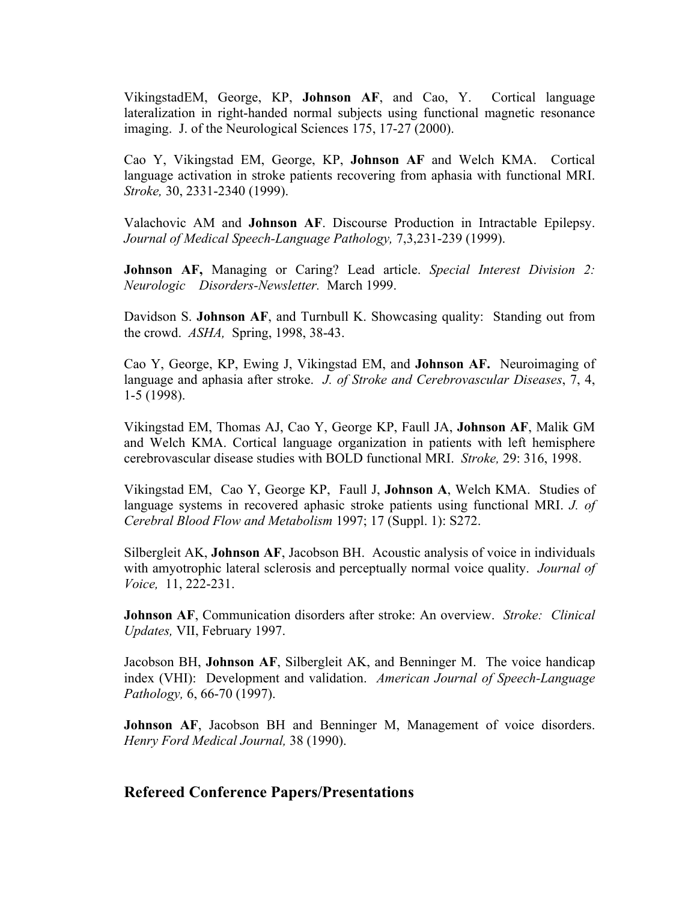VikingstadEM, George, KP, **Johnson AF**, and Cao, Y. Cortical language lateralization in right-handed normal subjects using functional magnetic resonance imaging. J. of the Neurological Sciences 175, 17-27 (2000).

Cao Y, Vikingstad EM, George, KP, **Johnson AF** and Welch KMA. Cortical language activation in stroke patients recovering from aphasia with functional MRI. *Stroke,* 30, 2331-2340 (1999).

Valachovic AM and **Johnson AF**. Discourse Production in Intractable Epilepsy. *Journal of Medical Speech-Language Pathology,* 7,3,231-239 (1999).

**Johnson AF,** Managing or Caring? Lead article. *Special Interest Division 2: Neurologic Disorders-Newsletter.* March 1999.

Davidson S. **Johnson AF**, and Turnbull K. Showcasing quality: Standing out from the crowd. *ASHA,* Spring, 1998, 38-43.

Cao Y, George, KP, Ewing J, Vikingstad EM, and **Johnson AF.** Neuroimaging of language and aphasia after stroke. *J. of Stroke and Cerebrovascular Diseases*, 7, 4, 1-5 (1998).

Vikingstad EM, Thomas AJ, Cao Y, George KP, Faull JA, **Johnson AF**, Malik GM and Welch KMA. Cortical language organization in patients with left hemisphere cerebrovascular disease studies with BOLD functional MRI. *Stroke,* 29: 316, 1998.

Vikingstad EM, Cao Y, George KP, Faull J, **Johnson A**, Welch KMA. Studies of language systems in recovered aphasic stroke patients using functional MRI. *J. of Cerebral Blood Flow and Metabolism* 1997; 17 (Suppl. 1): S272.

Silbergleit AK, **Johnson AF**, Jacobson BH. Acoustic analysis of voice in individuals with amyotrophic lateral sclerosis and perceptually normal voice quality. *Journal of Voice,* 11, 222-231.

**Johnson AF**, Communication disorders after stroke: An overview. *Stroke: Clinical Updates,* VII, February 1997.

Jacobson BH, **Johnson AF**, Silbergleit AK, and Benninger M. The voice handicap index (VHI): Development and validation. *American Journal of Speech-Language Pathology,* 6, 66-70 (1997).

**Johnson AF**, Jacobson BH and Benninger M, Management of voice disorders. *Henry Ford Medical Journal,* 38 (1990).

### **Refereed Conference Papers/Presentations**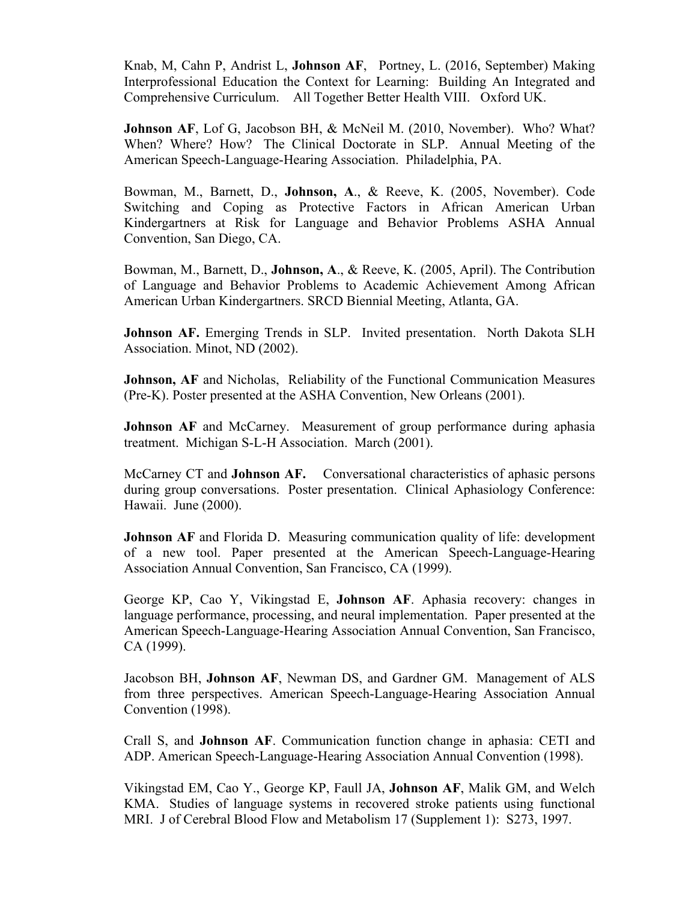Knab, M, Cahn P, Andrist L, **Johnson AF**, Portney, L. (2016, September) Making Interprofessional Education the Context for Learning: Building An Integrated and Comprehensive Curriculum. All Together Better Health VIII. Oxford UK.

**Johnson AF**, Lof G, Jacobson BH, & McNeil M. (2010, November). Who? What? When? Where? How? The Clinical Doctorate in SLP. Annual Meeting of the American Speech-Language-Hearing Association. Philadelphia, PA.

Bowman, M., Barnett, D., **Johnson, A**., & Reeve, K. (2005, November). Code Switching and Coping as Protective Factors in African American Urban Kindergartners at Risk for Language and Behavior Problems ASHA Annual Convention, San Diego, CA.

Bowman, M., Barnett, D., **Johnson, A**., & Reeve, K. (2005, April). The Contribution of Language and Behavior Problems to Academic Achievement Among African American Urban Kindergartners. SRCD Biennial Meeting, Atlanta, GA.

**Johnson AF.** Emerging Trends in SLP. Invited presentation. North Dakota SLH Association. Minot, ND (2002).

**Johnson, AF** and Nicholas, Reliability of the Functional Communication Measures (Pre-K). Poster presented at the ASHA Convention, New Orleans (2001).

**Johnson AF** and McCarney. Measurement of group performance during aphasia treatment. Michigan S-L-H Association. March (2001).

McCarney CT and **Johnson AF.** Conversational characteristics of aphasic persons during group conversations. Poster presentation. Clinical Aphasiology Conference: Hawaii. June (2000).

**Johnson AF** and Florida D. Measuring communication quality of life: development of a new tool. Paper presented at the American Speech-Language-Hearing Association Annual Convention, San Francisco, CA (1999).

George KP, Cao Y, Vikingstad E, **Johnson AF**. Aphasia recovery: changes in language performance, processing, and neural implementation. Paper presented at the American Speech-Language-Hearing Association Annual Convention, San Francisco, CA (1999).

Jacobson BH, **Johnson AF**, Newman DS, and Gardner GM. Management of ALS from three perspectives. American Speech-Language-Hearing Association Annual Convention (1998).

Crall S, and **Johnson AF**. Communication function change in aphasia: CETI and ADP. American Speech-Language-Hearing Association Annual Convention (1998).

Vikingstad EM, Cao Y., George KP, Faull JA, **Johnson AF**, Malik GM, and Welch KMA. Studies of language systems in recovered stroke patients using functional MRI. J of Cerebral Blood Flow and Metabolism 17 (Supplement 1): S273, 1997.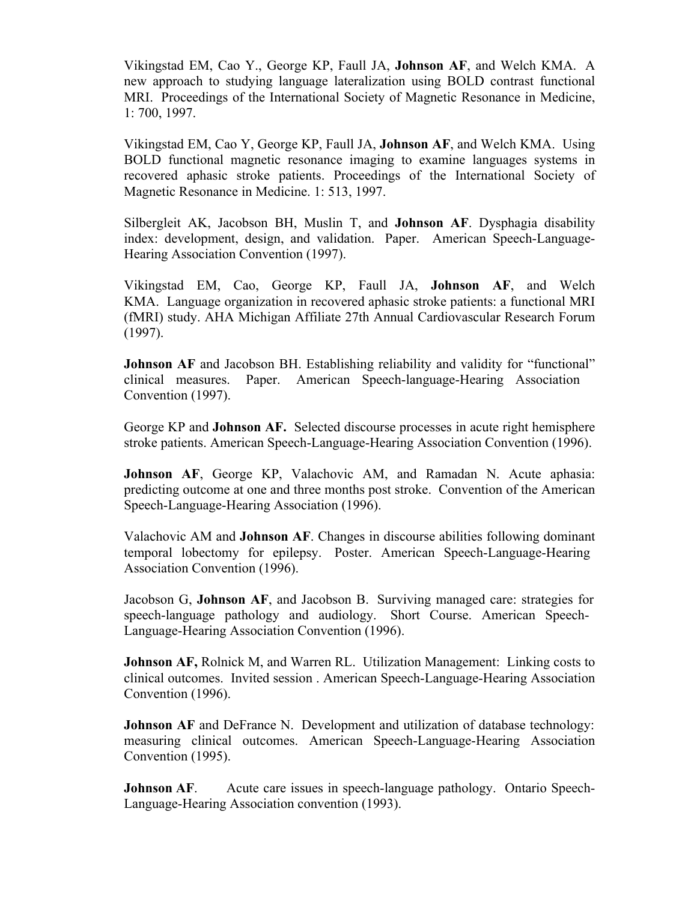Vikingstad EM, Cao Y., George KP, Faull JA, **Johnson AF**, and Welch KMA. A new approach to studying language lateralization using BOLD contrast functional MRI. Proceedings of the International Society of Magnetic Resonance in Medicine, 1: 700, 1997.

Vikingstad EM, Cao Y, George KP, Faull JA, **Johnson AF**, and Welch KMA. Using BOLD functional magnetic resonance imaging to examine languages systems in recovered aphasic stroke patients. Proceedings of the International Society of Magnetic Resonance in Medicine. 1: 513, 1997.

Silbergleit AK, Jacobson BH, Muslin T, and **Johnson AF**. Dysphagia disability index: development, design, and validation. Paper. American Speech-Language-Hearing Association Convention (1997).

Vikingstad EM, Cao, George KP, Faull JA, **Johnson AF**, and Welch KMA. Language organization in recovered aphasic stroke patients: a functional MRI (fMRI) study. AHA Michigan Affiliate 27th Annual Cardiovascular Research Forum (1997).

**Johnson AF** and Jacobson BH. Establishing reliability and validity for "functional" clinical measures. Paper. American Speech-language-Hearing Association Convention (1997).

George KP and **Johnson AF.** Selected discourse processes in acute right hemisphere stroke patients. American Speech-Language-Hearing Association Convention (1996).

**Johnson AF**, George KP, Valachovic AM, and Ramadan N. Acute aphasia: predicting outcome at one and three months post stroke. Convention of the American Speech-Language-Hearing Association (1996).

Valachovic AM and **Johnson AF**. Changes in discourse abilities following dominant temporal lobectomy for epilepsy. Poster. American Speech-Language-Hearing Association Convention (1996).

Jacobson G, **Johnson AF**, and Jacobson B. Surviving managed care: strategies for speech-language pathology and audiology. Short Course. American Speech-Language-Hearing Association Convention (1996).

**Johnson AF, Rolnick M, and Warren RL. Utilization Management: Linking costs to** clinical outcomes. Invited session . American Speech-Language-Hearing Association Convention (1996).

**Johnson AF** and DeFrance N. Development and utilization of database technology: measuring clinical outcomes. American Speech-Language-Hearing Association Convention (1995).

**Johnson AF.** Acute care issues in speech-language pathology. Ontario Speech-Language-Hearing Association convention (1993).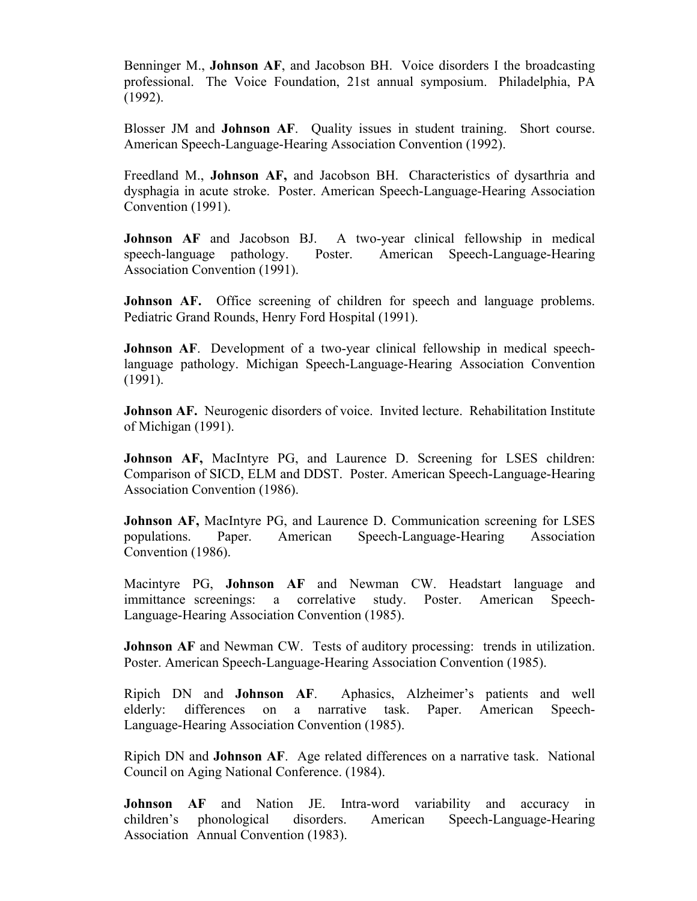Benninger M., **Johnson AF**, and Jacobson BH. Voice disorders I the broadcasting professional. The Voice Foundation, 21st annual symposium. Philadelphia, PA (1992).

Blosser JM and **Johnson AF**. Quality issues in student training. Short course. American Speech-Language-Hearing Association Convention (1992).

Freedland M., **Johnson AF,** and Jacobson BH. Characteristics of dysarthria and dysphagia in acute stroke. Poster. American Speech-Language-Hearing Association Convention (1991).

**Johnson AF** and Jacobson BJ. A two-year clinical fellowship in medical speech-language pathology. Poster. American Speech-Language-Hearing Association Convention (1991).

**Johnson AF.** Office screening of children for speech and language problems. Pediatric Grand Rounds, Henry Ford Hospital (1991).

**Johnson AF.** Development of a two-year clinical fellowship in medical speechlanguage pathology. Michigan Speech-Language-Hearing Association Convention (1991).

**Johnson AF.** Neurogenic disorders of voice. Invited lecture. Rehabilitation Institute of Michigan (1991).

**Johnson AF,** MacIntyre PG, and Laurence D. Screening for LSES children: Comparison of SICD, ELM and DDST. Poster. American Speech-Language-Hearing Association Convention (1986).

**Johnson AF,** MacIntyre PG, and Laurence D. Communication screening for LSES populations. Paper. American Speech-Language-Hearing Association Convention (1986).

Macintyre PG, **Johnson AF** and Newman CW. Headstart language and immittance screenings: a correlative study. Poster. American Speech-Language-Hearing Association Convention (1985).

**Johnson AF** and Newman CW. Tests of auditory processing: trends in utilization. Poster. American Speech-Language-Hearing Association Convention (1985).

Ripich DN and **Johnson AF**. Aphasics, Alzheimer's patients and well elderly: differences on a narrative task. Paper. American Speech-Language-Hearing Association Convention (1985).

Ripich DN and **Johnson AF**. Age related differences on a narrative task. National Council on Aging National Conference. (1984).

**Johnson AF** and Nation JE. Intra-word variability and accuracy in children's phonological disorders. American Speech-Language-Hearing Association Annual Convention (1983).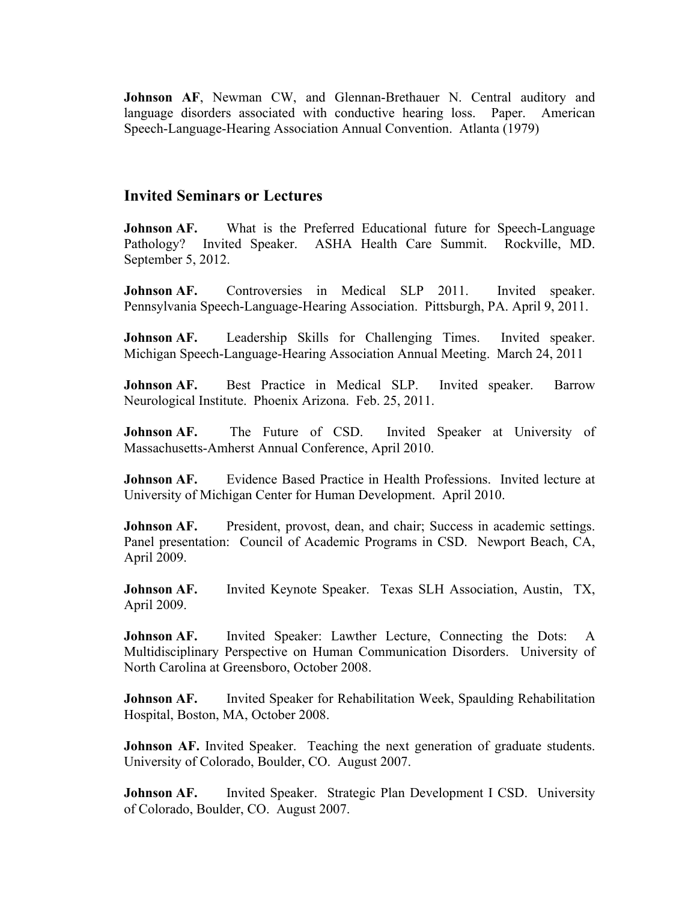Johnson AF, Newman CW, and Glennan-Brethauer N. Central auditory and language disorders associated with conductive hearing loss. Paper. American Speech-Language-Hearing Association Annual Convention. Atlanta (1979)

### **Invited Seminars or Lectures**

**Johnson AF.** What is the Preferred Educational future for Speech-Language Pathology? Invited Speaker. ASHA Health Care Summit. Rockville, MD. September 5, 2012.

**Johnson AF.** Controversies in Medical SLP 2011. Invited speaker. Pennsylvania Speech-Language-Hearing Association. Pittsburgh, PA. April 9, 2011.

**Johnson AF.** Leadership Skills for Challenging Times. Invited speaker. Michigan Speech-Language-Hearing Association Annual Meeting. March 24, 2011

**Johnson AF.** Best Practice in Medical SLP. Invited speaker. Barrow Neurological Institute. Phoenix Arizona. Feb. 25, 2011.

**Johnson AF.** The Future of CSD. Invited Speaker at University of Massachusetts-Amherst Annual Conference, April 2010.

**Johnson AF.** Evidence Based Practice in Health Professions. Invited lecture at University of Michigan Center for Human Development. April 2010.

**Johnson AF.** President, provost, dean, and chair; Success in academic settings. Panel presentation: Council of Academic Programs in CSD. Newport Beach, CA, April 2009.

**Johnson AF.** Invited Keynote Speaker. Texas SLH Association, Austin, TX, April 2009.

**Johnson AF.** Invited Speaker: Lawther Lecture, Connecting the Dots: A Multidisciplinary Perspective on Human Communication Disorders. University of North Carolina at Greensboro, October 2008.

**Johnson AF.** Invited Speaker for Rehabilitation Week, Spaulding Rehabilitation Hospital, Boston, MA, October 2008.

**Johnson AF.** Invited Speaker. Teaching the next generation of graduate students. University of Colorado, Boulder, CO. August 2007.

**Johnson AF.** Invited Speaker. Strategic Plan Development I CSD. University of Colorado, Boulder, CO. August 2007.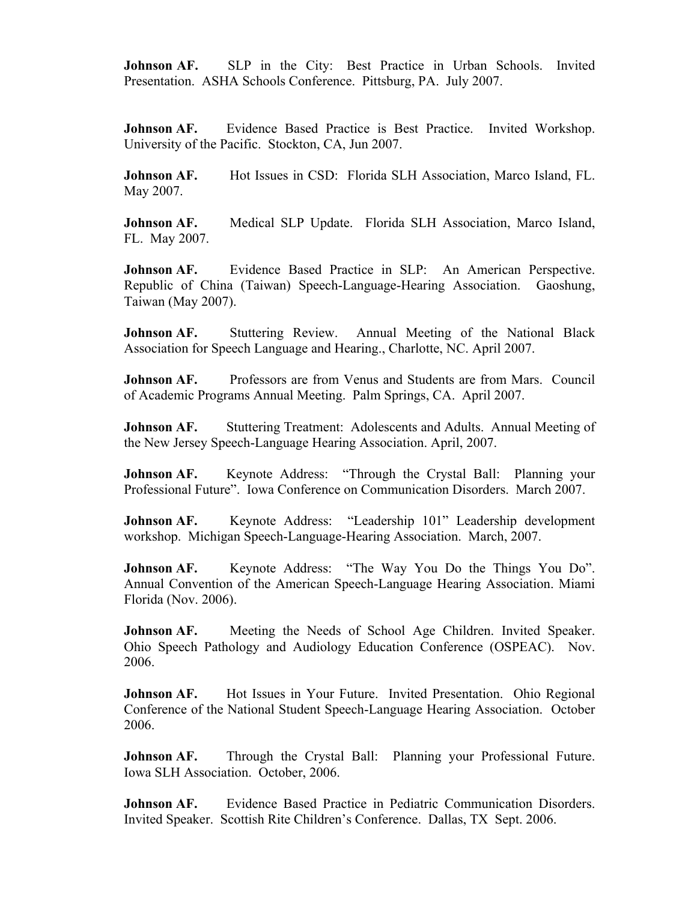**Johnson AF.** SLP in the City: Best Practice in Urban Schools. Invited Presentation. ASHA Schools Conference. Pittsburg, PA. July 2007.

**Johnson AF.** Evidence Based Practice is Best Practice. Invited Workshop. University of the Pacific. Stockton, CA, Jun 2007.

**Johnson AF.** Hot Issues in CSD: Florida SLH Association, Marco Island, FL. May 2007.

**Johnson AF.** Medical SLP Update. Florida SLH Association, Marco Island, FL. May 2007.

**Johnson AF.** Evidence Based Practice in SLP: An American Perspective. Republic of China (Taiwan) Speech-Language-Hearing Association. Gaoshung, Taiwan (May 2007).

**Johnson AF.** Stuttering Review. Annual Meeting of the National Black Association for Speech Language and Hearing., Charlotte, NC. April 2007.

**Johnson AF.** Professors are from Venus and Students are from Mars. Council of Academic Programs Annual Meeting. Palm Springs, CA. April 2007.

**Johnson AF.** Stuttering Treatment: Adolescents and Adults. Annual Meeting of the New Jersey Speech-Language Hearing Association. April, 2007.

**Johnson AF.** Keynote Address: "Through the Crystal Ball: Planning your Professional Future". Iowa Conference on Communication Disorders. March 2007.

**Johnson AF.** Keynote Address: "Leadership 101" Leadership development workshop. Michigan Speech-Language-Hearing Association. March, 2007.

**Johnson AF.** Keynote Address: "The Way You Do the Things You Do". Annual Convention of the American Speech-Language Hearing Association. Miami Florida (Nov. 2006).

**Johnson AF.** Meeting the Needs of School Age Children. Invited Speaker. Ohio Speech Pathology and Audiology Education Conference (OSPEAC). Nov. 2006.

**Johnson AF.** Hot Issues in Your Future. Invited Presentation. Ohio Regional Conference of the National Student Speech-Language Hearing Association. October 2006.

**Johnson AF.** Through the Crystal Ball: Planning your Professional Future. Iowa SLH Association. October, 2006.

**Johnson AF.** Evidence Based Practice in Pediatric Communication Disorders. Invited Speaker. Scottish Rite Children's Conference. Dallas, TX Sept. 2006.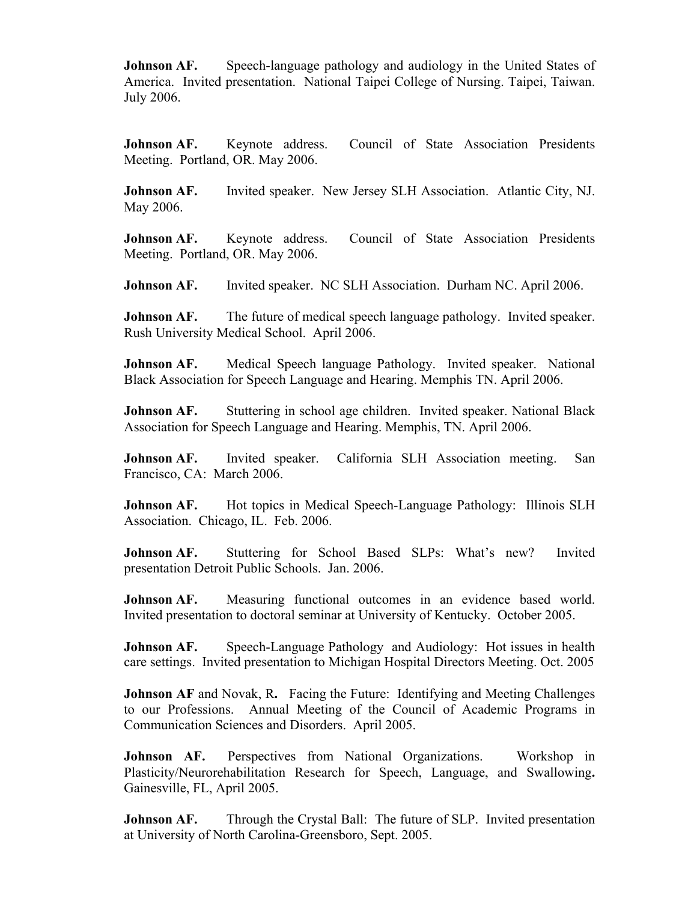**Johnson AF.** Speech-language pathology and audiology in the United States of America. Invited presentation. National Taipei College of Nursing. Taipei, Taiwan. July 2006.

**Johnson AF.** Keynote address. Council of State Association Presidents Meeting. Portland, OR. May 2006.

**Johnson AF.** Invited speaker. New Jersey SLH Association. Atlantic City, NJ. May 2006.

**Johnson AF.** Keynote address. Council of State Association Presidents Meeting. Portland, OR. May 2006.

**Johnson AF.** Invited speaker. NC SLH Association. Durham NC. April 2006.

**Johnson AF.** The future of medical speech language pathology. Invited speaker. Rush University Medical School. April 2006.

**Johnson AF.** Medical Speech language Pathology. Invited speaker. National Black Association for Speech Language and Hearing. Memphis TN. April 2006.

**Johnson AF.** Stuttering in school age children. Invited speaker. National Black Association for Speech Language and Hearing. Memphis, TN. April 2006.

**Johnson AF.** Invited speaker. California SLH Association meeting. San Francisco, CA: March 2006.

**Johnson AF.** Hot topics in Medical Speech-Language Pathology: Illinois SLH Association. Chicago, IL. Feb. 2006.

**Johnson AF.** Stuttering for School Based SLPs: What's new? Invited presentation Detroit Public Schools. Jan. 2006.

**Johnson AF.** Measuring functional outcomes in an evidence based world. Invited presentation to doctoral seminar at University of Kentucky. October 2005.

**Johnson AF.** Speech-Language Pathology and Audiology: Hot issues in health care settings. Invited presentation to Michigan Hospital Directors Meeting. Oct. 2005

**Johnson AF** and Novak, R**.** Facing the Future: Identifying and Meeting Challenges to our Professions.Annual Meeting of the Council of Academic Programs in Communication Sciences and Disorders. April 2005.

**Johnson AF.** Perspectives from National Organizations. Workshop in Plasticity/Neurorehabilitation Research for Speech, Language, and Swallowing**.**  Gainesville, FL, April 2005.

**Johnson AF.** Through the Crystal Ball: The future of SLP. Invited presentation at University of North Carolina-Greensboro, Sept. 2005.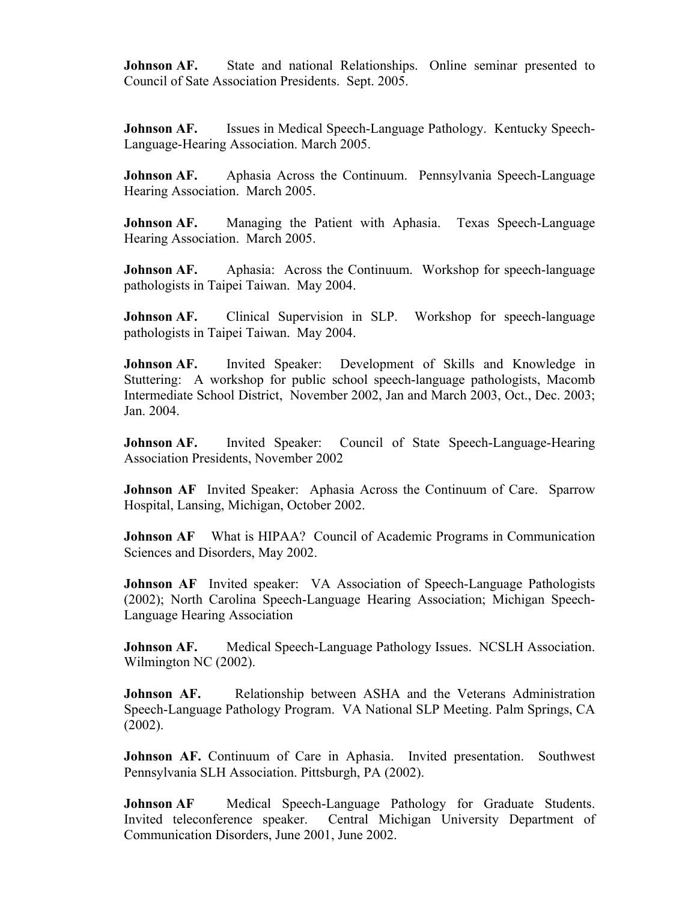**Johnson AF.** State and national Relationships. Online seminar presented to Council of Sate Association Presidents. Sept. 2005.

**Johnson AF.** Issues in Medical Speech-Language Pathology. Kentucky Speech-Language-Hearing Association. March 2005.

**Johnson AF.** Aphasia Across the Continuum. Pennsylvania Speech-Language Hearing Association. March 2005.

**Johnson AF.** Managing the Patient with Aphasia. Texas Speech-Language Hearing Association. March 2005.

**Johnson AF.** Aphasia: Across the Continuum. Workshop for speech-language pathologists in Taipei Taiwan. May 2004.

**Johnson AF.** Clinical Supervision in SLP. Workshop for speech-language pathologists in Taipei Taiwan. May 2004.

**Johnson AF.** Invited Speaker: Development of Skills and Knowledge in Stuttering: A workshop for public school speech-language pathologists, Macomb Intermediate School District, November 2002, Jan and March 2003, Oct., Dec. 2003; Jan. 2004.

**Johnson AF.** Invited Speaker: Council of State Speech-Language-Hearing Association Presidents, November 2002

**Johnson AF** Invited Speaker: Aphasia Across the Continuum of Care. Sparrow Hospital, Lansing, Michigan, October 2002.

**Johnson AF** What is HIPAA? Council of Academic Programs in Communication Sciences and Disorders, May 2002.

**Johnson AF** Invited speaker: VA Association of Speech-Language Pathologists (2002); North Carolina Speech-Language Hearing Association; Michigan Speech-Language Hearing Association

**Johnson AF.** Medical Speech-Language Pathology Issues. NCSLH Association. Wilmington NC (2002).

**Johnson AF.** Relationship between ASHA and the Veterans Administration Speech-Language Pathology Program. VA National SLP Meeting. Palm Springs, CA (2002).

**Johnson AF.** Continuum of Care in Aphasia. Invited presentation. Southwest Pennsylvania SLH Association. Pittsburgh, PA (2002).

**Johnson AF** Medical Speech-Language Pathology for Graduate Students. Invited teleconference speaker. Central Michigan University Department of Communication Disorders, June 2001, June 2002.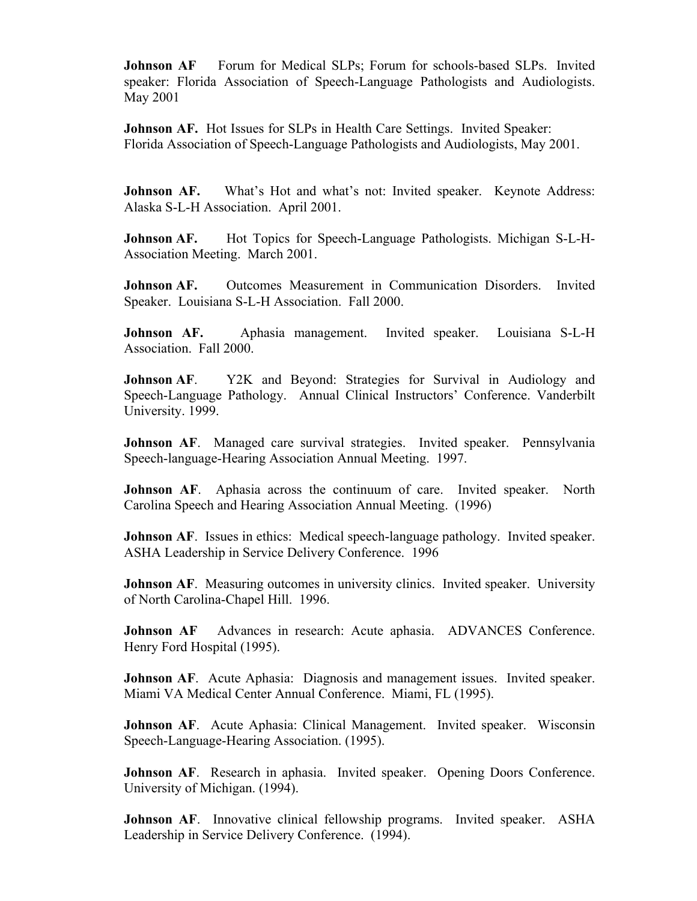**Johnson AF** Forum for Medical SLPs; Forum for schools-based SLPs. Invited speaker: Florida Association of Speech-Language Pathologists and Audiologists. May 2001

**Johnson AF.** Hot Issues for SLPs in Health Care Settings. Invited Speaker: Florida Association of Speech-Language Pathologists and Audiologists, May 2001.

**Johnson AF.** What's Hot and what's not: Invited speaker. Keynote Address: Alaska S-L-H Association. April 2001.

**Johnson AF.** Hot Topics for Speech-Language Pathologists. Michigan S-L-H-Association Meeting. March 2001.

**Johnson AF.** Outcomes Measurement in Communication Disorders. Invited Speaker. Louisiana S-L-H Association. Fall 2000.

**Johnson AF.** Aphasia management. Invited speaker. Louisiana S-L-H Association. Fall 2000.

**Johnson AF.** Y2K and Beyond: Strategies for Survival in Audiology and Speech-Language Pathology. Annual Clinical Instructors' Conference. Vanderbilt University. 1999.

**Johnson AF.** Managed care survival strategies. Invited speaker. Pennsylvania Speech-language-Hearing Association Annual Meeting. 1997.

**Johnson AF.** Aphasia across the continuum of care. Invited speaker. North Carolina Speech and Hearing Association Annual Meeting. (1996)

**Johnson AF.** Issues in ethics: Medical speech-language pathology. Invited speaker. ASHA Leadership in Service Delivery Conference. 1996

**Johnson AF.** Measuring outcomes in university clinics. Invited speaker. University of North Carolina-Chapel Hill. 1996.

**Johnson AF** Advances in research: Acute aphasia. ADVANCES Conference. Henry Ford Hospital (1995).

**Johnson AF.** Acute Aphasia: Diagnosis and management issues. Invited speaker. Miami VA Medical Center Annual Conference. Miami, FL (1995).

**Johnson AF.** Acute Aphasia: Clinical Management. Invited speaker. Wisconsin Speech-Language-Hearing Association. (1995).

**Johnson AF**. Research in aphasia. Invited speaker. Opening Doors Conference. University of Michigan. (1994).

**Johnson AF.** Innovative clinical fellowship programs. Invited speaker. ASHA Leadership in Service Delivery Conference. (1994).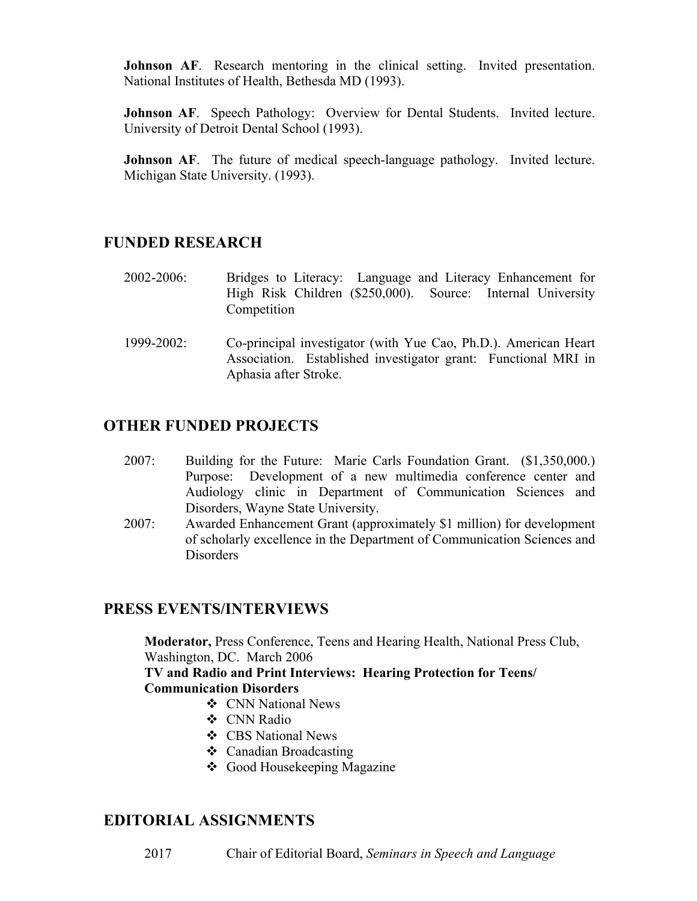**Johnson AF.** Research mentoring in the clinical setting. Invited presentation. National Institutes of Health, Bethesda MD (1993).

**Johnson AF.** Speech Pathology: Overview for Dental Students. Invited lecture. University of Detroit Dental School (1993).

**Johnson AF.** The future of medical speech-language pathology. Invited lecture. Michigan State University. (1993).

# **FUNDED RESEARCH**

- 2002-2006: Bridges to Literacy: Language and Literacy Enhancement for High Risk Children (\$250,000). Source: Internal University Competition
- 1999-2002: Co-principal investigator (with Yue Cao, Ph.D.). American Heart Association. Established investigator grant: Functional MRI in Aphasia after Stroke.

## **OTHER FUNDED PROJECTS**

- 2007: Building for the Future: Marie Carls Foundation Grant. (\$1,350,000.) Purpose: Development of a new multimedia conference center and Audiology clinic in Department of Communication Sciences and Disorders, Wayne State University.
- 2007: Awarded Enhancement Grant (approximately \$1 million) for development of scholarly excellence in the Department of Communication Sciences and Disorders

## **PRESS EVENTS/INTERVIEWS**

**Moderator,** Press Conference, Teens and Hearing Health, National Press Club, Washington, DC. March 2006

### **TV and Radio and Print Interviews: Hearing Protection for Teens/ Communication Disorders**

- ❖ CNN National News
- v CNN Radio
- ❖ CBS National News
- $\triangleleft$  Canadian Broadcasting
- **❖** Good Housekeeping Magazine

# **EDITORIAL ASSIGNMENTS**

2017 Chair of Editorial Board, *Seminars in Speech and Language*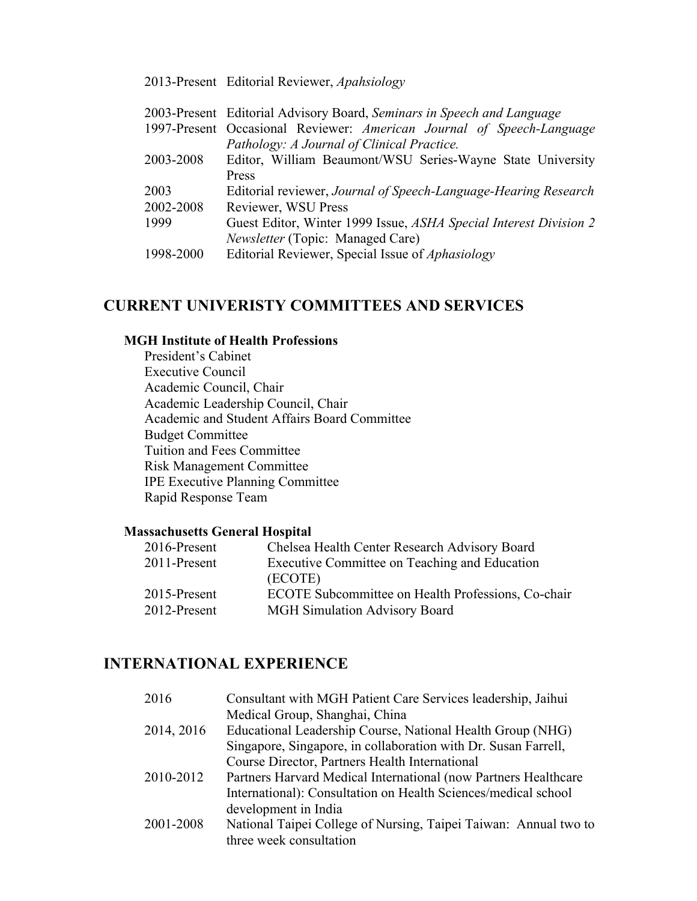### 2013-Present Editorial Reviewer, *Apahsiology*

|           | 2003-Present Editorial Advisory Board, Seminars in Speech and Language |
|-----------|------------------------------------------------------------------------|
|           | 1997-Present Occasional Reviewer: American Journal of Speech-Language  |
|           | Pathology: A Journal of Clinical Practice.                             |
| 2003-2008 | Editor, William Beaumont/WSU Series-Wayne State University             |
|           | <b>Press</b>                                                           |
| 2003      | Editorial reviewer, Journal of Speech-Language-Hearing Research        |
| 2002-2008 | Reviewer, WSU Press                                                    |
| 1999      | Guest Editor, Winter 1999 Issue, ASHA Special Interest Division 2      |
|           | <i>Newsletter</i> (Topic: Managed Care)                                |
| 1998-2000 | Editorial Reviewer, Special Issue of <i>Aphasiology</i>                |
|           |                                                                        |

# **CURRENT UNIVERISTY COMMITTEES AND SERVICES**

### **MGH Institute of Health Professions**

President's Cabinet Executive Council Academic Council, Chair Academic Leadership Council, Chair Academic and Student Affairs Board Committee Budget Committee Tuition and Fees Committee Risk Management Committee IPE Executive Planning Committee Rapid Response Team

### **Massachusetts General Hospital**

| Chelsea Health Center Research Advisory Board      |
|----------------------------------------------------|
| Executive Committee on Teaching and Education      |
| (ECOTE)                                            |
| ECOTE Subcommittee on Health Professions, Co-chair |
| <b>MGH Simulation Advisory Board</b>               |
|                                                    |

## **INTERNATIONAL EXPERIENCE**

| 2016       | Consultant with MGH Patient Care Services leadership, Jaihui     |
|------------|------------------------------------------------------------------|
|            | Medical Group, Shanghai, China                                   |
| 2014, 2016 | Educational Leadership Course, National Health Group (NHG)       |
|            | Singapore, Singapore, in collaboration with Dr. Susan Farrell,   |
|            | Course Director, Partners Health International                   |
| 2010-2012  | Partners Harvard Medical International (now Partners Healthcare  |
|            | International): Consultation on Health Sciences/medical school   |
|            | development in India                                             |
| 2001-2008  | National Taipei College of Nursing, Taipei Taiwan: Annual two to |
|            | three week consultation                                          |